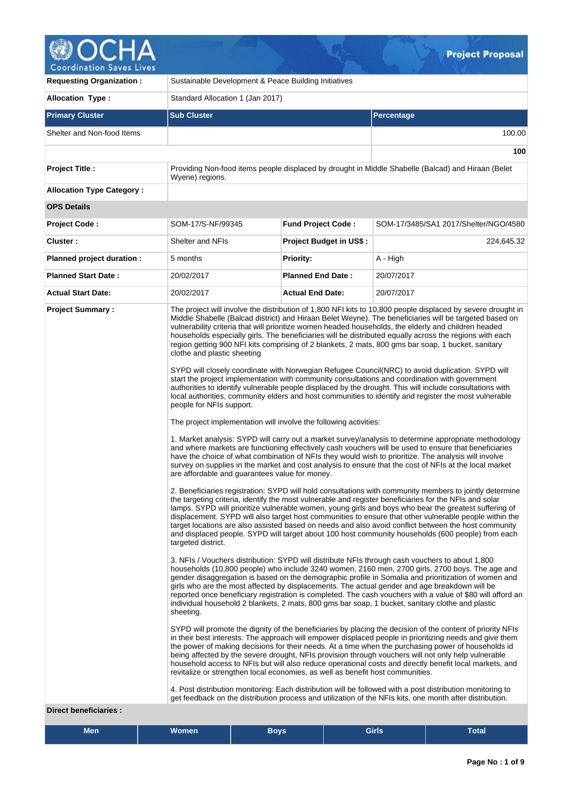

| <b>Requesting Organization:</b>                                                                                                                                                                                                                                                                                                                                                                                                                                                                                                                                                                                                                                                                                                                                                                                                                                                                                                                                                                                                                                                                                                                                                                                                                                                                                                                                                                                                                                                                                         | Sustainable Development & Peace Building Initiatives                                                                                                                                                                                                                                                                                                                                                                                                                                                                                                                                                                                                                                                                                                                                                                                                                                                                                                                                                                                                                                                                                                                                                                                                                                                                                                                                                                                                                                                                                                                                                                                                                                                                                                                                                                                                                                                                                                                                                                                    |                                |                                                                                                    |  |  |  |  |
|-------------------------------------------------------------------------------------------------------------------------------------------------------------------------------------------------------------------------------------------------------------------------------------------------------------------------------------------------------------------------------------------------------------------------------------------------------------------------------------------------------------------------------------------------------------------------------------------------------------------------------------------------------------------------------------------------------------------------------------------------------------------------------------------------------------------------------------------------------------------------------------------------------------------------------------------------------------------------------------------------------------------------------------------------------------------------------------------------------------------------------------------------------------------------------------------------------------------------------------------------------------------------------------------------------------------------------------------------------------------------------------------------------------------------------------------------------------------------------------------------------------------------|-----------------------------------------------------------------------------------------------------------------------------------------------------------------------------------------------------------------------------------------------------------------------------------------------------------------------------------------------------------------------------------------------------------------------------------------------------------------------------------------------------------------------------------------------------------------------------------------------------------------------------------------------------------------------------------------------------------------------------------------------------------------------------------------------------------------------------------------------------------------------------------------------------------------------------------------------------------------------------------------------------------------------------------------------------------------------------------------------------------------------------------------------------------------------------------------------------------------------------------------------------------------------------------------------------------------------------------------------------------------------------------------------------------------------------------------------------------------------------------------------------------------------------------------------------------------------------------------------------------------------------------------------------------------------------------------------------------------------------------------------------------------------------------------------------------------------------------------------------------------------------------------------------------------------------------------------------------------------------------------------------------------------------------------|--------------------------------|----------------------------------------------------------------------------------------------------|--|--|--|--|
| <b>Allocation Type:</b>                                                                                                                                                                                                                                                                                                                                                                                                                                                                                                                                                                                                                                                                                                                                                                                                                                                                                                                                                                                                                                                                                                                                                                                                                                                                                                                                                                                                                                                                                                 | Standard Allocation 1 (Jan 2017)                                                                                                                                                                                                                                                                                                                                                                                                                                                                                                                                                                                                                                                                                                                                                                                                                                                                                                                                                                                                                                                                                                                                                                                                                                                                                                                                                                                                                                                                                                                                                                                                                                                                                                                                                                                                                                                                                                                                                                                                        |                                |                                                                                                    |  |  |  |  |
| <b>Primary Cluster</b>                                                                                                                                                                                                                                                                                                                                                                                                                                                                                                                                                                                                                                                                                                                                                                                                                                                                                                                                                                                                                                                                                                                                                                                                                                                                                                                                                                                                                                                                                                  | <b>Sub Cluster</b><br>Percentage                                                                                                                                                                                                                                                                                                                                                                                                                                                                                                                                                                                                                                                                                                                                                                                                                                                                                                                                                                                                                                                                                                                                                                                                                                                                                                                                                                                                                                                                                                                                                                                                                                                                                                                                                                                                                                                                                                                                                                                                        |                                |                                                                                                    |  |  |  |  |
| Shelter and Non-food Items                                                                                                                                                                                                                                                                                                                                                                                                                                                                                                                                                                                                                                                                                                                                                                                                                                                                                                                                                                                                                                                                                                                                                                                                                                                                                                                                                                                                                                                                                              |                                                                                                                                                                                                                                                                                                                                                                                                                                                                                                                                                                                                                                                                                                                                                                                                                                                                                                                                                                                                                                                                                                                                                                                                                                                                                                                                                                                                                                                                                                                                                                                                                                                                                                                                                                                                                                                                                                                                                                                                                                         |                                | 100.00                                                                                             |  |  |  |  |
|                                                                                                                                                                                                                                                                                                                                                                                                                                                                                                                                                                                                                                                                                                                                                                                                                                                                                                                                                                                                                                                                                                                                                                                                                                                                                                                                                                                                                                                                                                                         |                                                                                                                                                                                                                                                                                                                                                                                                                                                                                                                                                                                                                                                                                                                                                                                                                                                                                                                                                                                                                                                                                                                                                                                                                                                                                                                                                                                                                                                                                                                                                                                                                                                                                                                                                                                                                                                                                                                                                                                                                                         |                                | 100                                                                                                |  |  |  |  |
| <b>Project Title:</b>                                                                                                                                                                                                                                                                                                                                                                                                                                                                                                                                                                                                                                                                                                                                                                                                                                                                                                                                                                                                                                                                                                                                                                                                                                                                                                                                                                                                                                                                                                   | Wyene) regions.                                                                                                                                                                                                                                                                                                                                                                                                                                                                                                                                                                                                                                                                                                                                                                                                                                                                                                                                                                                                                                                                                                                                                                                                                                                                                                                                                                                                                                                                                                                                                                                                                                                                                                                                                                                                                                                                                                                                                                                                                         |                                | Providing Non-food items people displaced by drought in Middle Shabelle (Balcad) and Hiraan (Belet |  |  |  |  |
| <b>Allocation Type Category:</b>                                                                                                                                                                                                                                                                                                                                                                                                                                                                                                                                                                                                                                                                                                                                                                                                                                                                                                                                                                                                                                                                                                                                                                                                                                                                                                                                                                                                                                                                                        |                                                                                                                                                                                                                                                                                                                                                                                                                                                                                                                                                                                                                                                                                                                                                                                                                                                                                                                                                                                                                                                                                                                                                                                                                                                                                                                                                                                                                                                                                                                                                                                                                                                                                                                                                                                                                                                                                                                                                                                                                                         |                                |                                                                                                    |  |  |  |  |
| <b>OPS Details</b>                                                                                                                                                                                                                                                                                                                                                                                                                                                                                                                                                                                                                                                                                                                                                                                                                                                                                                                                                                                                                                                                                                                                                                                                                                                                                                                                                                                                                                                                                                      |                                                                                                                                                                                                                                                                                                                                                                                                                                                                                                                                                                                                                                                                                                                                                                                                                                                                                                                                                                                                                                                                                                                                                                                                                                                                                                                                                                                                                                                                                                                                                                                                                                                                                                                                                                                                                                                                                                                                                                                                                                         |                                |                                                                                                    |  |  |  |  |
| Project Code:                                                                                                                                                                                                                                                                                                                                                                                                                                                                                                                                                                                                                                                                                                                                                                                                                                                                                                                                                                                                                                                                                                                                                                                                                                                                                                                                                                                                                                                                                                           | SOM-17/S-NF/99345                                                                                                                                                                                                                                                                                                                                                                                                                                                                                                                                                                                                                                                                                                                                                                                                                                                                                                                                                                                                                                                                                                                                                                                                                                                                                                                                                                                                                                                                                                                                                                                                                                                                                                                                                                                                                                                                                                                                                                                                                       | <b>Fund Project Code:</b>      | SOM-17/3485/SA1 2017/Shelter/NGO/4580                                                              |  |  |  |  |
| Cluster:                                                                                                                                                                                                                                                                                                                                                                                                                                                                                                                                                                                                                                                                                                                                                                                                                                                                                                                                                                                                                                                                                                                                                                                                                                                                                                                                                                                                                                                                                                                | Shelter and NFIs                                                                                                                                                                                                                                                                                                                                                                                                                                                                                                                                                                                                                                                                                                                                                                                                                                                                                                                                                                                                                                                                                                                                                                                                                                                                                                                                                                                                                                                                                                                                                                                                                                                                                                                                                                                                                                                                                                                                                                                                                        | <b>Project Budget in US\$:</b> | 224,645.32                                                                                         |  |  |  |  |
| Planned project duration :                                                                                                                                                                                                                                                                                                                                                                                                                                                                                                                                                                                                                                                                                                                                                                                                                                                                                                                                                                                                                                                                                                                                                                                                                                                                                                                                                                                                                                                                                              | 5 months                                                                                                                                                                                                                                                                                                                                                                                                                                                                                                                                                                                                                                                                                                                                                                                                                                                                                                                                                                                                                                                                                                                                                                                                                                                                                                                                                                                                                                                                                                                                                                                                                                                                                                                                                                                                                                                                                                                                                                                                                                | <b>Priority:</b>               | A - High                                                                                           |  |  |  |  |
| <b>Planned Start Date:</b>                                                                                                                                                                                                                                                                                                                                                                                                                                                                                                                                                                                                                                                                                                                                                                                                                                                                                                                                                                                                                                                                                                                                                                                                                                                                                                                                                                                                                                                                                              | 20/02/2017                                                                                                                                                                                                                                                                                                                                                                                                                                                                                                                                                                                                                                                                                                                                                                                                                                                                                                                                                                                                                                                                                                                                                                                                                                                                                                                                                                                                                                                                                                                                                                                                                                                                                                                                                                                                                                                                                                                                                                                                                              | <b>Planned End Date:</b>       | 20/07/2017                                                                                         |  |  |  |  |
| <b>Actual Start Date:</b>                                                                                                                                                                                                                                                                                                                                                                                                                                                                                                                                                                                                                                                                                                                                                                                                                                                                                                                                                                                                                                                                                                                                                                                                                                                                                                                                                                                                                                                                                               | 20/02/2017                                                                                                                                                                                                                                                                                                                                                                                                                                                                                                                                                                                                                                                                                                                                                                                                                                                                                                                                                                                                                                                                                                                                                                                                                                                                                                                                                                                                                                                                                                                                                                                                                                                                                                                                                                                                                                                                                                                                                                                                                              | <b>Actual End Date:</b>        | 20/07/2017                                                                                         |  |  |  |  |
| <b>Project Summary:</b>                                                                                                                                                                                                                                                                                                                                                                                                                                                                                                                                                                                                                                                                                                                                                                                                                                                                                                                                                                                                                                                                                                                                                                                                                                                                                                                                                                                                                                                                                                 | The project will involve the distribution of 1,800 NFI kits to 10,800 people displaced by severe drought in<br>Middle Shabelle (Balcad district) and Hiraan Belet Weyne). The beneficiaries will be targeted based on<br>vulnerability criteria that will prioritize women headed households, the elderly and children headed<br>households especially girls. The beneficiaries will be distributed equally across the regions with each<br>region getting 900 NFI kits comprising of 2 blankets, 2 mats, 800 gms bar soap, 1 bucket, sanitary<br>clothe and plastic sheeting<br>SYPD will closely coordinate with Norwegian Refugee Council(NRC) to avoid duplication. SYPD will<br>start the project implementation with community consultations and coordination with government<br>authorities to identify vulnerable people displaced by the drought. This will include consultations with<br>local authorities, community elders and host communities to identify and register the most vulnerable<br>people for NFIs support.<br>The project implementation will involve the following activities:<br>1. Market analysis: SYPD will carry out a market survey/analysis to determine appropriate methodology<br>and where markets are functioning effectively cash vouchers will be used to ensure that beneficiaries<br>have the choice of what combination of NFIs they would wish to prioritize. The analysis will involve<br>survey on supplies in the market and cost analysis to ensure that the cost of NFIs at the local market<br>are affordable and guarantees value for money.<br>2. Beneficiaries registration: SYPD will hold consultations with community members to jointly determine<br>the targeting criteria, identify the most vulnerable and register beneficiaries for the NFIs and solar<br>lamps. SYPD will prioritize vulnerable women, young girls and boys who bear the greatest suffering of<br>displacement. SYPD will also target host communities to ensure that other vulnerable people within the |                                |                                                                                                    |  |  |  |  |
| and displaced people. SYPD will target about 100 host community households (600 people) from each<br>targeted district.<br>3. NFIs / Vouchers distribution: SYPD will distribute NFIs through cash vouchers to about 1,800<br>households (10,800 people) who include 3240 women, 2160 men, 2700 girls, 2700 boys. The age and<br>gender disaggregation is based on the demographic profile in Somalia and prioritization of women and<br>girls who are the most affected by displacements. The actual gender and age breakdown will be<br>reported once beneficiary registration is completed. The cash vouchers with a value of \$80 will afford an<br>individual household 2 blankets, 2 mats, 800 gms bar soap, 1 bucket, sanitary clothe and plastic<br>sheeting.<br>SYPD will promote the dignity of the beneficiaries by placing the decision of the content of priority NFIs<br>in their best interests. The approach will empower displaced people in prioritizing needs and give them<br>the power of making decisions for their needs. At a time when the purchasing power of households id<br>being affected by the severe drought, NFIs provision through vouchers will not only help vulnerable<br>household access to NFIs but will also reduce operational costs and directly benefit local markets, and<br>revitalize or strengthen local economies, as well as benefit host communities.<br>4. Post distribution monitoring: Each distribution will be followed with a post distribution monitoring to |                                                                                                                                                                                                                                                                                                                                                                                                                                                                                                                                                                                                                                                                                                                                                                                                                                                                                                                                                                                                                                                                                                                                                                                                                                                                                                                                                                                                                                                                                                                                                                                                                                                                                                                                                                                                                                                                                                                                                                                                                                         |                                |                                                                                                    |  |  |  |  |

# **Direct beneficiaries :**

| <b>Men</b> | Women | Boys, | <b>Girls</b> | _<br><b>Fotal</b> |
|------------|-------|-------|--------------|-------------------|
|------------|-------|-------|--------------|-------------------|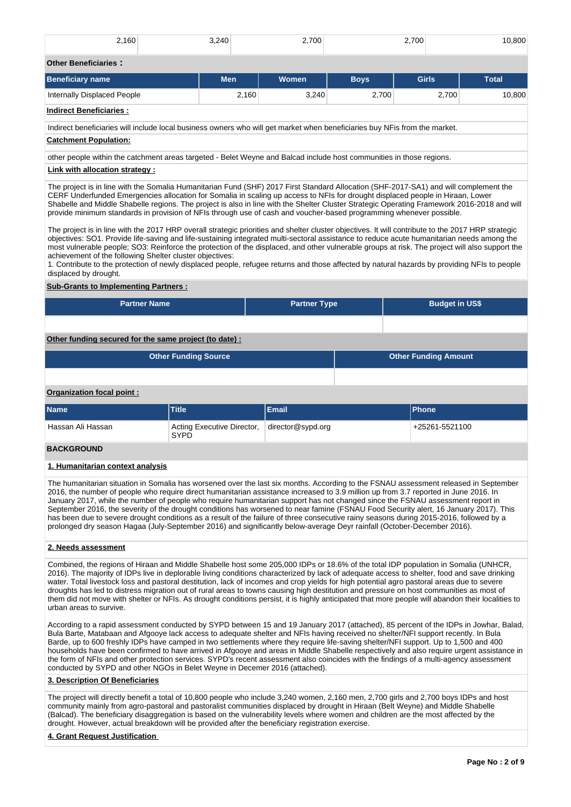| 2,160                                                                                                                                                                                                                                                                                                                                                                                                                                                                                                                                                                                                                                                                                                                                                                                                                                                                                                                                                                                                                                                                                                                                                                                                                                    | 3,240                                     | 2.700               |             | 2,700                       | 10,800       |  |  |  |  |
|------------------------------------------------------------------------------------------------------------------------------------------------------------------------------------------------------------------------------------------------------------------------------------------------------------------------------------------------------------------------------------------------------------------------------------------------------------------------------------------------------------------------------------------------------------------------------------------------------------------------------------------------------------------------------------------------------------------------------------------------------------------------------------------------------------------------------------------------------------------------------------------------------------------------------------------------------------------------------------------------------------------------------------------------------------------------------------------------------------------------------------------------------------------------------------------------------------------------------------------|-------------------------------------------|---------------------|-------------|-----------------------------|--------------|--|--|--|--|
| <b>Other Beneficiaries:</b>                                                                                                                                                                                                                                                                                                                                                                                                                                                                                                                                                                                                                                                                                                                                                                                                                                                                                                                                                                                                                                                                                                                                                                                                              |                                           |                     |             |                             |              |  |  |  |  |
| <b>Beneficiary name</b>                                                                                                                                                                                                                                                                                                                                                                                                                                                                                                                                                                                                                                                                                                                                                                                                                                                                                                                                                                                                                                                                                                                                                                                                                  | <b>Men</b>                                | Women               | <b>Boys</b> | <b>Girls</b>                | <b>Total</b> |  |  |  |  |
| Internally Displaced People                                                                                                                                                                                                                                                                                                                                                                                                                                                                                                                                                                                                                                                                                                                                                                                                                                                                                                                                                                                                                                                                                                                                                                                                              | 2.160                                     | 3,240               | 2,700       | 2.700                       | 10,800       |  |  |  |  |
| <b>Indirect Beneficiaries:</b>                                                                                                                                                                                                                                                                                                                                                                                                                                                                                                                                                                                                                                                                                                                                                                                                                                                                                                                                                                                                                                                                                                                                                                                                           |                                           |                     |             |                             |              |  |  |  |  |
| Indirect beneficiaries will include local business owners who will get market when beneficiaries buy NFis from the market.                                                                                                                                                                                                                                                                                                                                                                                                                                                                                                                                                                                                                                                                                                                                                                                                                                                                                                                                                                                                                                                                                                               |                                           |                     |             |                             |              |  |  |  |  |
| <b>Catchment Population:</b>                                                                                                                                                                                                                                                                                                                                                                                                                                                                                                                                                                                                                                                                                                                                                                                                                                                                                                                                                                                                                                                                                                                                                                                                             |                                           |                     |             |                             |              |  |  |  |  |
| other people within the catchment areas targeted - Belet Weyne and Balcad include host communities in those regions.                                                                                                                                                                                                                                                                                                                                                                                                                                                                                                                                                                                                                                                                                                                                                                                                                                                                                                                                                                                                                                                                                                                     |                                           |                     |             |                             |              |  |  |  |  |
| Link with allocation strategy :                                                                                                                                                                                                                                                                                                                                                                                                                                                                                                                                                                                                                                                                                                                                                                                                                                                                                                                                                                                                                                                                                                                                                                                                          |                                           |                     |             |                             |              |  |  |  |  |
| The project is in line with the Somalia Humanitarian Fund (SHF) 2017 First Standard Allocation (SHF-2017-SA1) and will complement the<br>CERF Underfunded Emergencies allocation for Somalia in scaling up access to NFIs for drought displaced people in Hiraan, Lower<br>Shabelle and Middle Shabelle regions. The project is also in line with the Shelter Cluster Strategic Operating Framework 2016-2018 and will<br>provide minimum standards in provision of NFIs through use of cash and voucher-based programming whenever possible.<br>The project is in line with the 2017 HRP overall strategic priorities and shelter cluster objectives. It will contribute to the 2017 HRP strategic<br>objectives: SO1. Provide life-saving and life-sustaining integrated multi-sectoral assistance to reduce acute humanitarian needs among the<br>most vulnerable people; SO3: Reinforce the protection of the displaced, and other vulnerable groups at risk. The project will also support the<br>achievement of the following Shelter cluster objectives:<br>1. Contribute to the protection of newly displaced people, refugee returns and those affected by natural hazards by providing NFIs to people<br>displaced by drought. |                                           |                     |             |                             |              |  |  |  |  |
| <b>Sub-Grants to Implementing Partners:</b>                                                                                                                                                                                                                                                                                                                                                                                                                                                                                                                                                                                                                                                                                                                                                                                                                                                                                                                                                                                                                                                                                                                                                                                              |                                           |                     |             |                             |              |  |  |  |  |
| <b>Partner Name</b>                                                                                                                                                                                                                                                                                                                                                                                                                                                                                                                                                                                                                                                                                                                                                                                                                                                                                                                                                                                                                                                                                                                                                                                                                      |                                           | <b>Partner Type</b> |             | <b>Budget in US\$</b>       |              |  |  |  |  |
|                                                                                                                                                                                                                                                                                                                                                                                                                                                                                                                                                                                                                                                                                                                                                                                                                                                                                                                                                                                                                                                                                                                                                                                                                                          |                                           |                     |             |                             |              |  |  |  |  |
| Other funding secured for the same project (to date) :                                                                                                                                                                                                                                                                                                                                                                                                                                                                                                                                                                                                                                                                                                                                                                                                                                                                                                                                                                                                                                                                                                                                                                                   |                                           |                     |             |                             |              |  |  |  |  |
|                                                                                                                                                                                                                                                                                                                                                                                                                                                                                                                                                                                                                                                                                                                                                                                                                                                                                                                                                                                                                                                                                                                                                                                                                                          | <b>Other Funding Source</b>               |                     |             | <b>Other Funding Amount</b> |              |  |  |  |  |
|                                                                                                                                                                                                                                                                                                                                                                                                                                                                                                                                                                                                                                                                                                                                                                                                                                                                                                                                                                                                                                                                                                                                                                                                                                          |                                           |                     |             |                             |              |  |  |  |  |
| Organization focal point :                                                                                                                                                                                                                                                                                                                                                                                                                                                                                                                                                                                                                                                                                                                                                                                                                                                                                                                                                                                                                                                                                                                                                                                                               |                                           |                     |             |                             |              |  |  |  |  |
| <b>Name</b>                                                                                                                                                                                                                                                                                                                                                                                                                                                                                                                                                                                                                                                                                                                                                                                                                                                                                                                                                                                                                                                                                                                                                                                                                              | <b>Title</b>                              | <b>Email</b>        |             | <b>Phone</b>                |              |  |  |  |  |
| Hassan Ali Hassan                                                                                                                                                                                                                                                                                                                                                                                                                                                                                                                                                                                                                                                                                                                                                                                                                                                                                                                                                                                                                                                                                                                                                                                                                        | Acting Executive Director,<br><b>SYPD</b> | director@sypd.org   |             | +25261-5521100              |              |  |  |  |  |
| <b>BACKGROUND</b>                                                                                                                                                                                                                                                                                                                                                                                                                                                                                                                                                                                                                                                                                                                                                                                                                                                                                                                                                                                                                                                                                                                                                                                                                        |                                           |                     |             |                             |              |  |  |  |  |
| 1. Humanitarian context analysis                                                                                                                                                                                                                                                                                                                                                                                                                                                                                                                                                                                                                                                                                                                                                                                                                                                                                                                                                                                                                                                                                                                                                                                                         |                                           |                     |             |                             |              |  |  |  |  |
| The humanitarian situation in Somalia has worsened over the last six months. According to the FSNAU assessment released in September<br>2016, the number of people who require direct humanitarian assistance increased to 3.9 million up from 3.7 reported in June 2016. In<br>January 2017, while the number of people who require humanitarian support has not changed since the FSNAU assessment report in<br>September 2016, the severity of the drought conditions has worsened to near famine (FSNAU Food Security alert, 16 January 2017). This<br>has been due to severe drought conditions as a result of the failure of three consecutive rainy seasons during 2015-2016, followed by a<br>prolonged dry season Hagaa (July-September 2016) and significantly below-average Deyr rainfall (October-December 2016).<br>2. Needs assessment                                                                                                                                                                                                                                                                                                                                                                                     |                                           |                     |             |                             |              |  |  |  |  |

Combined, the regions of Hiraan and Middle Shabelle host some 205,000 IDPs or 18.6% of the total IDP population in Somalia (UNHCR, 2016). The majority of IDPs live in deplorable living conditions characterized by lack of adequate access to shelter, food and save drinking water. Total livestock loss and pastoral destitution, lack of incomes and crop yields for high potential agro pastoral areas due to severe droughts has led to distress migration out of rural areas to towns causing high destitution and pressure on host communities as most of them did not move with shelter or NFIs. As drought conditions persist, it is highly anticipated that more people will abandon their localities to urban areas to survive.

According to a rapid assessment conducted by SYPD between 15 and 19 January 2017 (attached), 85 percent of the IDPs in Jowhar, Balad, Bula Barte, Matabaan and Afgooye lack access to adequate shelter and NFIs having received no shelter/NFI support recently. In Bula Barde, up to 600 freshly IDPs have camped in two settlements where they require life-saving shelter/NFI support. Up to 1,500 and 400 households have been confirmed to have arrived in Afgooye and areas in Middle Shabelle respectively and also require urgent assistance in the form of NFIs and other protection services. SYPD's recent assessment also coincides with the findings of a multi-agency assessment conducted by SYPD and other NGOs in Belet Weyne in Decemer 2016 (attached).

## **3. Description Of Beneficiaries**

The project will directly benefit a total of 10,800 people who include 3,240 women, 2,160 men, 2,700 girls and 2,700 boys IDPs and host community mainly from agro-pastoral and pastoralist communities displaced by drought in Hiraan (Belt Weyne) and Middle Shabelle (Balcad). The beneficiary disaggregation is based on the vulnerability levels where women and children are the most affected by the drought. However, actual breakdown will be provided after the beneficiary registration exercise.

## **4. Grant Request Justification**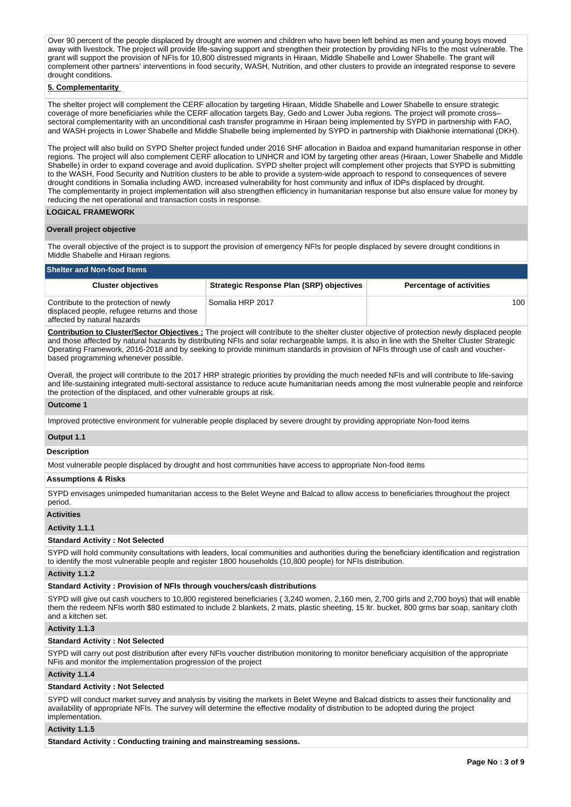Over 90 percent of the people displaced by drought are women and children who have been left behind as men and young boys moved away with livestock. The project will provide life-saving support and strengthen their protection by providing NFIs to the most vulnerable. The grant will support the provision of NFIs for 10,800 distressed migrants in Hiraan, Middle Shabelle and Lower Shabelle. The grant will complement other partners' interventions in food security, WASH, Nutrition, and other clusters to provide an integrated response to severe drought conditions.

## **5. Complementarity**

The shelter project will complement the CERF allocation by targeting Hiraan, Middle Shabelle and Lower Shabelle to ensure strategic coverage of more beneficiaries while the CERF allocation targets Bay, Gedo and Lower Juba regions. The project will promote cross– sectoral complementarity with an unconditional cash transfer programme in Hiraan being implemented by SYPD in partnership with FAO, and WASH projects in Lower Shabelle and Middle Shabelle being implemented by SYPD in partnership with Diakhonie international (DKH).

The project will also build on SYPD Shelter project funded under 2016 SHF allocation in Baidoa and expand humanitarian response in other regions. The project will also complement CERF allocation to UNHCR and IOM by targeting other areas (Hiraan, Lower Shabelle and Middle Shabelle) in order to expand coverage and avoid duplication. SYPD shelter project will complement other projects that SYPD is submitting to the WASH, Food Security and Nutrition clusters to be able to provide a system-wide approach to respond to consequences of severe drought conditions in Somalia including AWD, increased vulnerability for host community and influx of IDPs displaced by drought. The complementarity in project implementation will also strengthen efficiency in humanitarian response but also ensure value for money by reducing the net operational and transaction costs in response.

## **LOGICAL FRAMEWORK**

## **Overall project objective**

The overall objective of the project is to support the provision of emergency NFIs for people displaced by severe drought conditions in Middle Shabelle and Hiraan regions.

## **Shelter and Non-food Items**

| <b>Cluster objectives</b>                                                                                           | <b>Strategic Response Plan (SRP) objectives</b> | <b>Percentage of activities</b> |
|---------------------------------------------------------------------------------------------------------------------|-------------------------------------------------|---------------------------------|
| Contribute to the protection of newly<br>displaced people, refugee returns and those<br>affected by natural hazards | Somalia HRP 2017                                | 100                             |

**Contribution to Cluster/Sector Objectives :** The project will contribute to the shelter cluster objective of protection newly displaced people and those affected by natural hazards by distributing NFIs and solar rechargeable lamps. It is also in line with the Shelter Cluster Strategic Operating Framework, 2016-2018 and by seeking to provide minimum standards in provision of NFIs through use of cash and voucherbased programming whenever possible.

Overall, the project will contribute to the 2017 HRP strategic priorities by providing the much needed NFIs and will contribute to life-saving and life-sustaining integrated multi-sectoral assistance to reduce acute humanitarian needs among the most vulnerable people and reinforce the protection of the displaced, and other vulnerable groups at risk.

## **Outcome 1**

Improved protective environment for vulnerable people displaced by severe drought by providing appropriate Non-food items

#### **Output 1.1**

#### **Description**

Most vulnerable people displaced by drought and host communities have access to appropriate Non-food items

#### **Assumptions & Risks**

SYPD envisages unimpeded humanitarian access to the Belet Weyne and Balcad to allow access to beneficiaries throughout the project period.

## **Activities**

#### **Activity 1.1.1**

## **Standard Activity : Not Selected**

SYPD will hold community consultations with leaders, local communities and authorities during the beneficiary identification and registration to identify the most vulnerable people and register 1800 households (10,800 people) for NFIs distribution.

#### **Activity 1.1.2**

#### **Standard Activity : Provision of NFIs through vouchers/cash distributions**

SYPD will give out cash vouchers to 10,800 registered beneficiaries ( 3,240 women, 2,160 men, 2,700 girls and 2,700 boys) that will enable them the redeem NFIs worth \$80 estimated to include 2 blankets, 2 mats, plastic sheeting, 15 ltr. bucket, 800 grms bar soap, sanitary cloth and a kitchen set.

## **Activity 1.1.3**

#### **Standard Activity : Not Selected**

SYPD will carry out post distribution after every NFIs voucher distribution monitoring to monitor beneficiary acquisition of the appropriate NFis and monitor the implementation progression of the project

## **Activity 1.1.4**

#### **Standard Activity : Not Selected**

SYPD will conduct market survey and analysis by visiting the markets in Belet Weyne and Balcad districts to asses their functionality and availability of appropriate NFIs. The survey will determine the effective modality of distribution to be adopted during the project implementation.

## **Activity 1.1.5**

**Standard Activity : Conducting training and mainstreaming sessions.**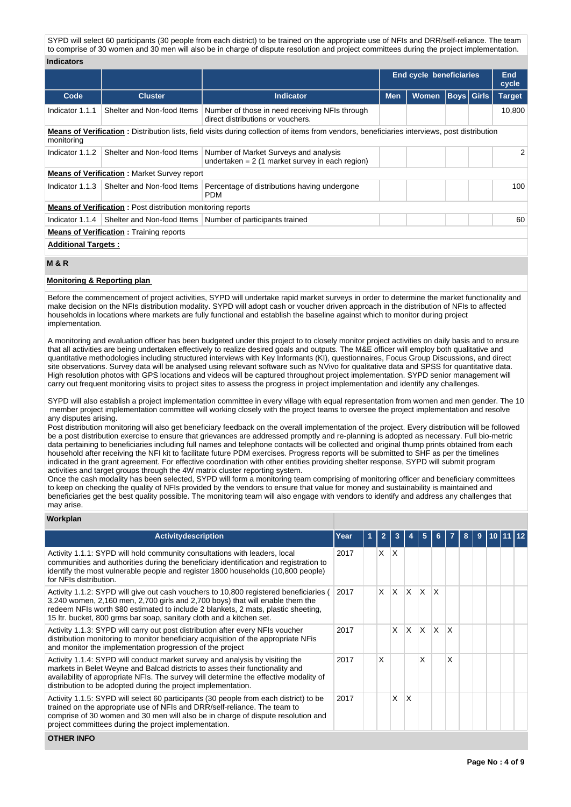SYPD will select 60 participants (30 people from each district) to be trained on the appropriate use of NFIs and DRR/self-reliance. The team to comprise of 30 women and 30 men will also be in charge of dispute resolution and project committees during the project implementation.

#### **Indicators**

|                                                                                                                                                                   |                                                                    |                                                                                           |            | <b>End cycle beneficiaries</b> |                   |  | End<br>cycle  |  |  |
|-------------------------------------------------------------------------------------------------------------------------------------------------------------------|--------------------------------------------------------------------|-------------------------------------------------------------------------------------------|------------|--------------------------------|-------------------|--|---------------|--|--|
| Code                                                                                                                                                              | <b>Cluster</b>                                                     | <b>Indicator</b>                                                                          | <b>Men</b> | <b>Women</b>                   | <b>Boys</b> Girls |  | <b>Target</b> |  |  |
| Indicator 1.1.1                                                                                                                                                   | Shelter and Non-food Items                                         | Number of those in need receiving NFIs through<br>direct distributions or vouchers.       |            |                                |                   |  | 10,800        |  |  |
| <b>Means of Verification:</b> Distribution lists, field visits during collection of items from vendors, beneficiaries interviews, post distribution<br>monitoring |                                                                    |                                                                                           |            |                                |                   |  |               |  |  |
| Indicator 1.1.2                                                                                                                                                   | Shelter and Non-food Items                                         | Number of Market Surveys and analysis<br>undertaken = $2(1$ market survey in each region) |            |                                |                   |  |               |  |  |
|                                                                                                                                                                   | <b>Means of Verification:</b> Market Survey report                 |                                                                                           |            |                                |                   |  |               |  |  |
| Indicator 1.1.3                                                                                                                                                   | Shelter and Non-food Items                                         | Percentage of distributions having undergone<br><b>PDM</b>                                |            |                                |                   |  | 100           |  |  |
|                                                                                                                                                                   | <b>Means of Verification:</b> Post distribution monitoring reports |                                                                                           |            |                                |                   |  |               |  |  |
| Indicator 1.1.4                                                                                                                                                   |                                                                    | Shelter and Non-food Items   Number of participants trained                               |            |                                |                   |  | 60            |  |  |
|                                                                                                                                                                   | <b>Means of Verification:</b> Training reports                     |                                                                                           |            |                                |                   |  |               |  |  |
|                                                                                                                                                                   | <b>Additional Targets:</b>                                         |                                                                                           |            |                                |                   |  |               |  |  |

# **M & R**

## **Monitoring & Reporting plan**

Before the commencement of project activities, SYPD will undertake rapid market surveys in order to determine the market functionality and make decision on the NFIs distribution modality. SYPD will adopt cash or voucher driven approach in the distribution of NFIs to affected households in locations where markets are fully functional and establish the baseline against which to monitor during project **implementation** 

A monitoring and evaluation officer has been budgeted under this project to to closely monitor project activities on daily basis and to ensure that all activities are being undertaken effectively to realize desired goals and outputs. The M&E officer will employ both qualitative and quantitative methodologies including structured interviews with Key Informants (KI), questionnaires, Focus Group Discussions, and direct site observations. Survey data will be analysed using relevant software such as NVivo for qualitative data and SPSS for quantitative data. High resolution photos with GPS locations and videos will be captured throughout project implementation. SYPD senior management will carry out frequent monitoring visits to project sites to assess the progress in project implementation and identify any challenges.

SYPD will also establish a project implementation committee in every village with equal representation from women and men gender. The 10 member project implementation committee will working closely with the project teams to oversee the project implementation and resolve any disputes arising.

Post distribution monitoring will also get beneficiary feedback on the overall implementation of the project. Every distribution will be followed be a post distribution exercise to ensure that grievances are addressed promptly and re-planning is adopted as necessary. Full bio-metric data pertaining to beneficiaries including full names and telephone contacts will be collected and original thump prints obtained from each household after receiving the NFI kit to facilitate future PDM exercises. Progress reports will be submitted to SHF as per the timelines indicated in the grant agreement. For effective coordination with other entities providing shelter response, SYPD will submit program activities and target groups through the 4W matrix cluster reporting system.

Once the cash modality has been selected, SYPD will form a monitoring team comprising of monitoring officer and beneficiary committees to keep on checking the quality of NFIs provided by the vendors to ensure that value for money and sustainability is maintained and beneficiaries get the best quality possible. The monitoring team will also engage with vendors to identify and address any challenges that may arise.

## **Workplan**

| <b>Activitydescription</b>                                                                                                                                                                                                                                                                                                          | Year | $\overline{2}$ |              |              |                         | 6            |              | 8 | 9 | 10. |  |
|-------------------------------------------------------------------------------------------------------------------------------------------------------------------------------------------------------------------------------------------------------------------------------------------------------------------------------------|------|----------------|--------------|--------------|-------------------------|--------------|--------------|---|---|-----|--|
| Activity 1.1.1: SYPD will hold community consultations with leaders, local<br>communities and authorities during the beneficiary identification and registration to<br>identify the most vulnerable people and register 1800 households (10,800 people)<br>for NFIs distribution.                                                   | 2017 | X.             | ΙX.          |              |                         |              |              |   |   |     |  |
| Activity 1.1.2: SYPD will give out cash vouchers to 10,800 registered beneficiaries (<br>3,240 women, 2,160 men, 2,700 girls and 2,700 boys) that will enable them the<br>redeem NFIs worth \$80 estimated to include 2 blankets, 2 mats, plastic sheeting,<br>15 ltr. bucket, 800 grms bar soap, sanitary cloth and a kitchen set. | 2017 | <b>X</b>       | $\mathsf{X}$ | $\mathsf{X}$ | $\times$                | $\mathsf{x}$ |              |   |   |     |  |
| Activity 1.1.3: SYPD will carry out post distribution after every NFIs voucher<br>distribution monitoring to monitor beneficiary acquisition of the appropriate NFis<br>and monitor the implementation progression of the project                                                                                                   | 2017 |                | $X$ $X$      |              | $\mathsf{I} \mathsf{X}$ | $\mathsf{X}$ | $\mathsf{x}$ |   |   |     |  |
| Activity 1.1.4: SYPD will conduct market survey and analysis by visiting the<br>markets in Belet Weyne and Balcad districts to asses their functionality and<br>availability of appropriate NFIs. The survey will determine the effective modality of<br>distribution to be adopted during the project implementation.              | 2017 | X              |              |              | X                       |              | X            |   |   |     |  |
| Activity 1.1.5: SYPD will select 60 participants (30 people from each district) to be<br>trained on the appropriate use of NFIs and DRR/self-reliance. The team to<br>comprise of 30 women and 30 men will also be in charge of dispute resolution and<br>project committees during the project implementation.                     | 2017 |                | X            | $\mathsf{x}$ |                         |              |              |   |   |     |  |
| <b>OTHER INFO</b>                                                                                                                                                                                                                                                                                                                   |      |                |              |              |                         |              |              |   |   |     |  |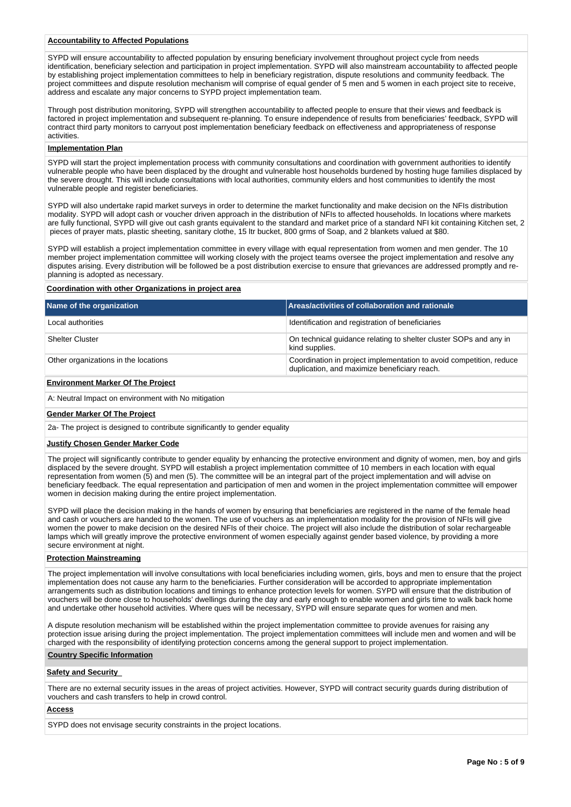# **Accountability to Affected Populations**

SYPD will ensure accountability to affected population by ensuring beneficiary involvement throughout project cycle from needs identification, beneficiary selection and participation in project implementation. SYPD will also mainstream accountability to affected people by establishing project implementation committees to help in beneficiary registration, dispute resolutions and community feedback. The project committees and dispute resolution mechanism will comprise of equal gender of 5 men and 5 women in each project site to receive, address and escalate any major concerns to SYPD project implementation team.

Through post distribution monitoring, SYPD will strengthen accountability to affected people to ensure that their views and feedback is factored in project implementation and subsequent re-planning. To ensure independence of results from beneficiaries' feedback, SYPD will contract third party monitors to carryout post implementation beneficiary feedback on effectiveness and appropriateness of response activities.

#### **Implementation Plan**

SYPD will start the project implementation process with community consultations and coordination with government authorities to identify vulnerable people who have been displaced by the drought and vulnerable host households burdened by hosting huge families displaced by the severe drought. This will include consultations with local authorities, community elders and host communities to identify the most vulnerable people and register beneficiaries.

SYPD will also undertake rapid market surveys in order to determine the market functionality and make decision on the NFIs distribution modality. SYPD will adopt cash or voucher driven approach in the distribution of NFIs to affected households. In locations where markets are fully functional, SYPD will give out cash grants equivalent to the standard and market price of a standard NFI kit containing Kitchen set, 2 pieces of prayer mats, plastic sheeting, sanitary clothe, 15 ltr bucket, 800 grms of Soap, and 2 blankets valued at \$80.

SYPD will establish a project implementation committee in every village with equal representation from women and men gender. The 10 member project implementation committee will working closely with the project teams oversee the project implementation and resolve any disputes arising. Every distribution will be followed be a post distribution exercise to ensure that grievances are addressed promptly and replanning is adopted as necessary.

### **Coordination with other Organizations in project area**

| Name of the organization             | Areas/activities of collaboration and rationale                                                                     |
|--------------------------------------|---------------------------------------------------------------------------------------------------------------------|
| Local authorities                    | Identification and registration of beneficiaries                                                                    |
| <b>Shelter Cluster</b>               | On technical quidance relating to shelter cluster SOPs and any in<br>kind supplies.                                 |
| Other organizations in the locations | Coordination in project implementation to avoid competition, reduce<br>duplication, and maximize beneficiary reach. |

## **Environment Marker Of The Project**

A: Neutral Impact on environment with No mitigation

## **Gender Marker Of The Project**

2a- The project is designed to contribute significantly to gender equality

#### **Justify Chosen Gender Marker Code**

The project will significantly contribute to gender equality by enhancing the protective environment and dignity of women, men, boy and girls displaced by the severe drought. SYPD will establish a project implementation committee of 10 members in each location with equal representation from women (5) and men (5). The committee will be an integral part of the project implementation and will advise on beneficiary feedback. The equal representation and participation of men and women in the project implementation committee will empower women in decision making during the entire project implementation.

SYPD will place the decision making in the hands of women by ensuring that beneficiaries are registered in the name of the female head and cash or vouchers are handed to the women. The use of vouchers as an implementation modality for the provision of NFIs will give women the power to make decision on the desired NFIs of their choice. The project will also include the distribution of solar rechargeable lamps which will greatly improve the protective environment of women especially against gender based violence, by providing a more secure environment at night.

#### **Protection Mainstreaming**

The project implementation will involve consultations with local beneficiaries including women, girls, boys and men to ensure that the project implementation does not cause any harm to the beneficiaries. Further consideration will be accorded to appropriate implementation arrangements such as distribution locations and timings to enhance protection levels for women. SYPD will ensure that the distribution of vouchers will be done close to households' dwellings during the day and early enough to enable women and girls time to walk back home and undertake other household activities. Where ques will be necessary, SYPD will ensure separate ques for women and men.

A dispute resolution mechanism will be established within the project implementation committee to provide avenues for raising any protection issue arising during the project implementation. The project implementation committees will include men and women and will be charged with the responsibility of identifying protection concerns among the general support to project implementation.

## **Country Specific Information**

## **Safety and Security**

There are no external security issues in the areas of project activities. However, SYPD will contract security guards during distribution of vouchers and cash transfers to help in crowd control.

#### **Access**

SYPD does not envisage security constraints in the project locations.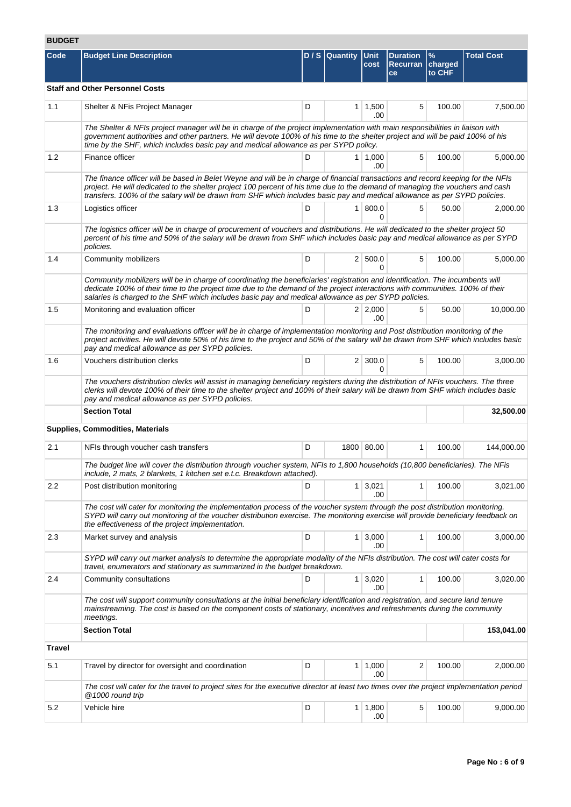# **BUDGET**

| Code          | <b>Budget Line Description</b>                                                                                                                                                                                                                                                                                                                                                                 |   | D / S   Quantity   Unit | cost                  | <b>Duration</b><br><b>Recurran</b><br>ce | $\frac{9}{6}$<br>charged<br>to CHF | <b>Total Cost</b> |
|---------------|------------------------------------------------------------------------------------------------------------------------------------------------------------------------------------------------------------------------------------------------------------------------------------------------------------------------------------------------------------------------------------------------|---|-------------------------|-----------------------|------------------------------------------|------------------------------------|-------------------|
|               | <b>Staff and Other Personnel Costs</b>                                                                                                                                                                                                                                                                                                                                                         |   |                         |                       |                                          |                                    |                   |
| 1.1           | Shelter & NFis Project Manager                                                                                                                                                                                                                                                                                                                                                                 | D |                         | $1 \mid 1,500$<br>.00 | 5                                        | 100.00                             | 7,500.00          |
|               | The Shelter & NFIs project manager will be in charge of the project implementation with main responsibilities in liaison with<br>government authorities and other partners. He will devote 100% of his time to the shelter project and will be paid 100% of his<br>time by the SHF, which includes basic pay and medical allowance as per SYPD policy.                                         |   |                         |                       |                                          |                                    |                   |
| 1.2           | Finance officer                                                                                                                                                                                                                                                                                                                                                                                | D |                         | $1 \mid 1,000$<br>.00 | 5                                        | 100.00                             | 5,000.00          |
|               | The finance officer will be based in Belet Weyne and will be in charge of financial transactions and record keeping for the NFIs<br>project. He will dedicated to the shelter project 100 percent of his time due to the demand of managing the vouchers and cash<br>transfers. 100% of the salary will be drawn from SHF which includes basic pay and medical allowance as per SYPD policies. |   |                         |                       |                                          |                                    |                   |
| 1.3           | Logistics officer                                                                                                                                                                                                                                                                                                                                                                              | D |                         | 1   800.0<br>0        | 5                                        | 50.00                              | 2,000.00          |
|               | The logistics officer will be in charge of procurement of vouchers and distributions. He will dedicated to the shelter project 50<br>percent of his time and 50% of the salary will be drawn from SHF which includes basic pay and medical allowance as per SYPD<br>policies.                                                                                                                  |   |                         |                       |                                          |                                    |                   |
| 1.4           | Community mobilizers                                                                                                                                                                                                                                                                                                                                                                           | D |                         | 2   500.0<br>$\Omega$ | 5                                        | 100.00                             | 5,000.00          |
|               | Community mobilizers will be in charge of coordinating the beneficiaries' registration and identification. The incumbents will<br>dedicate 100% of their time to the project time due to the demand of the project interactions with communities. 100% of their<br>salaries is charged to the SHF which includes basic pay and medical allowance as per SYPD policies.                         |   |                         |                       |                                          |                                    |                   |
| 1.5           | Monitoring and evaluation officer                                                                                                                                                                                                                                                                                                                                                              | D |                         | 2 2,000<br>.00        | 5                                        | 50.00                              | 10,000.00         |
|               | The monitoring and evaluations officer will be in charge of implementation monitoring and Post distribution monitoring of the<br>project activities. He will devote 50% of his time to the project and 50% of the salary will be drawn from SHF which includes basic<br>pay and medical allowance as per SYPD policies.                                                                        |   |                         |                       |                                          |                                    |                   |
| 1.6           | Vouchers distribution clerks                                                                                                                                                                                                                                                                                                                                                                   | D |                         | $2 \mid 300.0$<br>0   | 5                                        | 100.00                             | 3,000.00          |
|               | The vouchers distribution clerks will assist in managing beneficiary registers during the distribution of NFIs vouchers. The three<br>clerks will devote 100% of their time to the shelter project and 100% of their salary will be drawn from SHF which includes basic<br>pay and medical allowance as per SYPD policies.                                                                     |   |                         |                       |                                          |                                    |                   |
|               | <b>Section Total</b>                                                                                                                                                                                                                                                                                                                                                                           |   |                         |                       |                                          |                                    | 32,500.00         |
|               | <b>Supplies, Commodities, Materials</b>                                                                                                                                                                                                                                                                                                                                                        |   |                         |                       |                                          |                                    |                   |
| 2.1           | NFIs through voucher cash transfers                                                                                                                                                                                                                                                                                                                                                            | D |                         | 1800 80.00            | 1                                        | 100.00                             | 144,000.00        |
|               | The budget line will cover the distribution through voucher system, NFIs to 1,800 households (10,800 beneficiaries). The NFis<br>include, 2 mats, 2 blankets, 1 kitchen set e.t.c. Breakdown attached).                                                                                                                                                                                        |   |                         |                       |                                          |                                    |                   |
| 2.2           | Post distribution monitoring                                                                                                                                                                                                                                                                                                                                                                   | D |                         | $1 \mid 3,021$<br>.00 | 1                                        | 100.00                             | 3,021.00          |
|               | The cost will cater for monitoring the implementation process of the voucher system through the post distribution monitoring.<br>SYPD will carry out monitoring of the voucher distribution exercise. The monitoring exercise will provide beneficiary feedback on<br>the effectiveness of the project implementation.                                                                         |   |                         |                       |                                          |                                    |                   |
| 2.3           | Market survey and analysis                                                                                                                                                                                                                                                                                                                                                                     | D |                         | $1 \mid 3,000$<br>.00 | 1                                        | 100.00                             | 3,000.00          |
|               | SYPD will carry out market analysis to determine the appropriate modality of the NFIs distribution. The cost will cater costs for<br>travel, enumerators and stationary as summarized in the budget breakdown.                                                                                                                                                                                 |   |                         |                       |                                          |                                    |                   |
| 2.4           | Community consultations                                                                                                                                                                                                                                                                                                                                                                        | D |                         | $1 \mid 3,020$<br>.00 | 1                                        | 100.00                             | 3,020.00          |
|               | The cost will support community consultations at the initial beneficiary identification and registration, and secure land tenure<br>mainstreaming. The cost is based on the component costs of stationary, incentives and refreshments during the community<br>meetings.                                                                                                                       |   |                         |                       |                                          |                                    |                   |
|               |                                                                                                                                                                                                                                                                                                                                                                                                |   |                         |                       |                                          |                                    |                   |
|               | <b>Section Total</b>                                                                                                                                                                                                                                                                                                                                                                           |   |                         |                       |                                          |                                    | 153,041.00        |
| <b>Travel</b> |                                                                                                                                                                                                                                                                                                                                                                                                |   |                         |                       |                                          |                                    |                   |
| 5.1           | Travel by director for oversight and coordination                                                                                                                                                                                                                                                                                                                                              | D |                         | $1 \mid 1,000$<br>.00 | $\overline{2}$                           | 100.00                             | 2,000.00          |
|               | The cost will cater for the travel to project sites for the executive director at least two times over the project implementation period<br>@1000 round trip                                                                                                                                                                                                                                   |   |                         |                       |                                          |                                    |                   |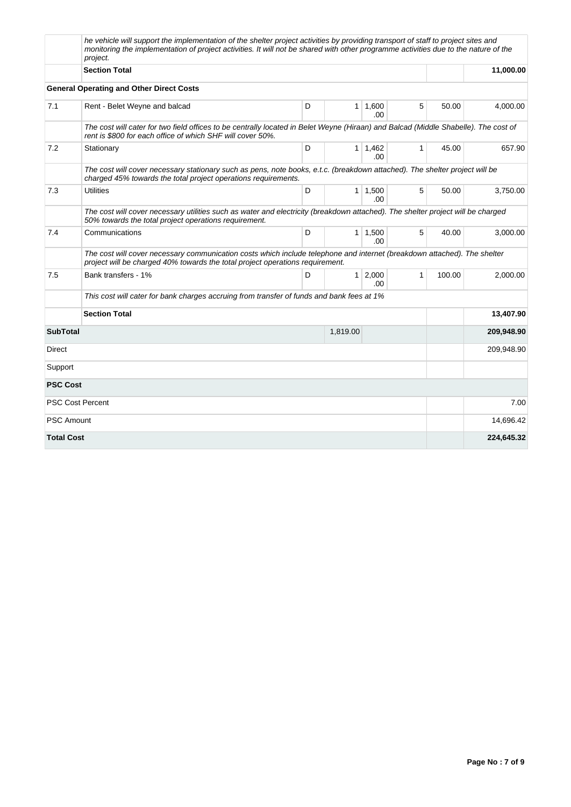|                   | he vehicle will support the implementation of the shelter project activities by providing transport of staff to project sites and<br>monitoring the implementation of project activities. It will not be shared with other programme activities due to the nature of the<br>project. |   |                |                       |              |        |            |
|-------------------|--------------------------------------------------------------------------------------------------------------------------------------------------------------------------------------------------------------------------------------------------------------------------------------|---|----------------|-----------------------|--------------|--------|------------|
|                   | <b>Section Total</b>                                                                                                                                                                                                                                                                 |   |                |                       |              |        | 11,000.00  |
|                   | <b>General Operating and Other Direct Costs</b>                                                                                                                                                                                                                                      |   |                |                       |              |        |            |
| 7.1               | Rent - Belet Weyne and balcad                                                                                                                                                                                                                                                        | D | $\mathbf{1}$   | 1,600<br>.00.         | 5            | 50.00  | 4,000.00   |
|                   | The cost will cater for two field offices to be centrally located in Belet Weyne (Hiraan) and Balcad (Middle Shabelle). The cost of<br>rent is \$800 for each office of which SHF will cover 50%.                                                                                    |   |                |                       |              |        |            |
| 7.2               | Stationary                                                                                                                                                                                                                                                                           | D | 1 <sup>1</sup> | 1,462<br>.00.         | $\mathbf{1}$ | 45.00  | 657.90     |
|                   | The cost will cover necessary stationary such as pens, note books, e.t.c. (breakdown attached). The shelter project will be<br>charged 45% towards the total project operations requirements.                                                                                        |   |                |                       |              |        |            |
| 7.3               | <b>Utilities</b>                                                                                                                                                                                                                                                                     | D |                | $1 \mid 1,500$<br>.00 | 5            | 50.00  | 3.750.00   |
|                   | The cost will cover necessary utilities such as water and electricity (breakdown attached). The shelter project will be charged<br>50% towards the total project operations requirement.                                                                                             |   |                |                       |              |        |            |
| 7.4               | Communications                                                                                                                                                                                                                                                                       | D |                | $1 \mid 1,500$<br>.00 | 5            | 40.00  | 3,000.00   |
|                   | The cost will cover necessary communication costs which include telephone and internet (breakdown attached). The shelter<br>project will be charged 40% towards the total project operations requirement.                                                                            |   |                |                       |              |        |            |
| 7.5               | Bank transfers - 1%                                                                                                                                                                                                                                                                  | D | 1 <sup>1</sup> | 2,000<br>.00          | $\mathbf{1}$ | 100.00 | 2,000.00   |
|                   | This cost will cater for bank charges accruing from transfer of funds and bank fees at 1%                                                                                                                                                                                            |   |                |                       |              |        |            |
|                   | <b>Section Total</b>                                                                                                                                                                                                                                                                 |   |                |                       |              |        | 13,407.90  |
| <b>SubTotal</b>   |                                                                                                                                                                                                                                                                                      |   | 1,819.00       |                       |              |        | 209,948.90 |
| Direct            |                                                                                                                                                                                                                                                                                      |   |                |                       |              |        | 209,948.90 |
| Support           |                                                                                                                                                                                                                                                                                      |   |                |                       |              |        |            |
| <b>PSC Cost</b>   |                                                                                                                                                                                                                                                                                      |   |                |                       |              |        |            |
|                   | PSC Cost Percent                                                                                                                                                                                                                                                                     |   |                |                       |              |        | 7.00       |
| <b>PSC Amount</b> |                                                                                                                                                                                                                                                                                      |   |                |                       |              |        | 14.696.42  |
| <b>Total Cost</b> |                                                                                                                                                                                                                                                                                      |   |                |                       |              |        | 224,645.32 |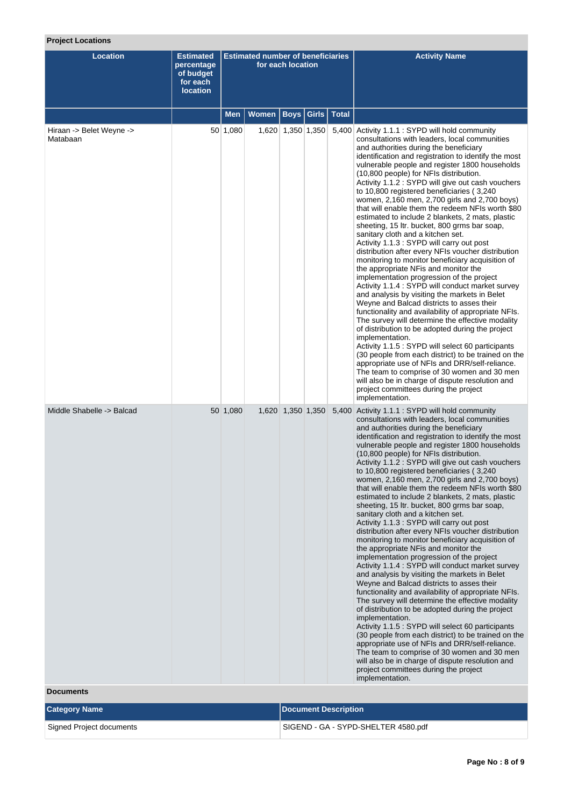# **Project Locations**

| <b>Location</b>                      | <b>Estimated</b><br>percentage<br>of budget<br>for each<br><b>location</b> | <b>Estimated number of beneficiaries</b><br>for each location |       |                             |  | <b>Activity Name</b>                                                                                                                                                                                                                                                                                                                                                                                                                                                                                                                                                                                                                                                                                                                                                                                                                                                                                                                                                                                                                                                                                                                                                                                                                                                                                                                                                                                                                                                                                                                                          |
|--------------------------------------|----------------------------------------------------------------------------|---------------------------------------------------------------|-------|-----------------------------|--|---------------------------------------------------------------------------------------------------------------------------------------------------------------------------------------------------------------------------------------------------------------------------------------------------------------------------------------------------------------------------------------------------------------------------------------------------------------------------------------------------------------------------------------------------------------------------------------------------------------------------------------------------------------------------------------------------------------------------------------------------------------------------------------------------------------------------------------------------------------------------------------------------------------------------------------------------------------------------------------------------------------------------------------------------------------------------------------------------------------------------------------------------------------------------------------------------------------------------------------------------------------------------------------------------------------------------------------------------------------------------------------------------------------------------------------------------------------------------------------------------------------------------------------------------------------|
|                                      |                                                                            | <b>Men</b>                                                    | Women | <b>Boys   Girls   Total</b> |  |                                                                                                                                                                                                                                                                                                                                                                                                                                                                                                                                                                                                                                                                                                                                                                                                                                                                                                                                                                                                                                                                                                                                                                                                                                                                                                                                                                                                                                                                                                                                                               |
| Hiraan -> Belet Weyne -><br>Matabaan |                                                                            | 50 1,080                                                      |       | 1,620 1,350 1,350           |  | 5,400 Activity 1.1.1 : SYPD will hold community<br>consultations with leaders, local communities<br>and authorities during the beneficiary<br>identification and registration to identify the most<br>vulnerable people and register 1800 households<br>(10,800 people) for NFIs distribution.<br>Activity 1.1.2 : SYPD will give out cash vouchers<br>to 10,800 registered beneficiaries (3,240)<br>women, 2,160 men, 2,700 girls and 2,700 boys)<br>that will enable them the redeem NFIs worth \$80<br>estimated to include 2 blankets, 2 mats, plastic<br>sheeting, 15 ltr. bucket, 800 grms bar soap,<br>sanitary cloth and a kitchen set.<br>Activity 1.1.3 : SYPD will carry out post<br>distribution after every NFIs voucher distribution<br>monitoring to monitor beneficiary acquisition of<br>the appropriate NF is and monitor the<br>implementation progression of the project<br>Activity 1.1.4 : SYPD will conduct market survey<br>and analysis by visiting the markets in Belet<br>Weyne and Balcad districts to asses their<br>functionality and availability of appropriate NFIs.<br>The survey will determine the effective modality<br>of distribution to be adopted during the project<br>implementation.<br>Activity 1.1.5 : SYPD will select 60 participants<br>(30 people from each district) to be trained on the<br>appropriate use of NFIs and DRR/self-reliance.<br>The team to comprise of 30 women and 30 men<br>will also be in charge of dispute resolution and<br>project committees during the project<br>implementation. |
| Middle Shabelle -> Balcad            |                                                                            | 50 1,080                                                      |       | 1,620 1,350 1,350           |  | 5,400 Activity 1.1.1 : SYPD will hold community<br>consultations with leaders, local communities<br>and authorities during the beneficiary<br>identification and registration to identify the most<br>vulnerable people and register 1800 households<br>(10,800 people) for NFIs distribution.<br>Activity 1.1.2 : SYPD will give out cash vouchers<br>to 10,800 registered beneficiaries (3,240<br>women, 2,160 men, 2,700 girls and 2,700 boys)<br>that will enable them the redeem NFIs worth \$80<br>estimated to include 2 blankets, 2 mats, plastic<br>sheeting, 15 ltr. bucket, 800 grms bar soap,<br>sanitary cloth and a kitchen set.<br>Activity 1.1.3 : SYPD will carry out post<br>distribution after every NFIs voucher distribution<br>monitoring to monitor beneficiary acquisition of<br>the appropriate NFis and monitor the<br>implementation progression of the project<br>Activity 1.1.4 : SYPD will conduct market survey<br>and analysis by visiting the markets in Belet<br>Weyne and Balcad districts to asses their<br>functionality and availability of appropriate NFIs.<br>The survey will determine the effective modality<br>of distribution to be adopted during the project<br>implementation.<br>Activity 1.1.5 : SYPD will select 60 participants<br>(30 people from each district) to be trained on the<br>appropriate use of NFIs and DRR/self-reliance.<br>The team to comprise of 30 women and 30 men<br>will also be in charge of dispute resolution and<br>project committees during the project<br>implementation.   |

**Documents**

| <b>Category Name</b>     | Document Description                |
|--------------------------|-------------------------------------|
| Signed Project documents | SIGEND - GA - SYPD-SHELTER 4580.pdf |